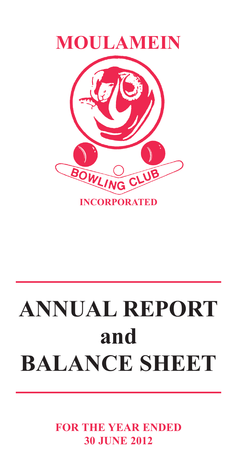

# **ANNUAL REPORT and BALANCE SHEET**

**FOR THE YEAR ENDED 30 JUNE 2012**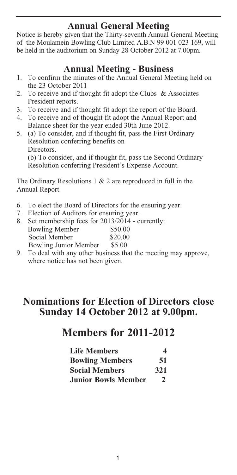# **Annual General Meeting**

Notice is hereby given that the Thirty-seventh Annual General Meeting of the Moulamein Bowling Club Limited A.B.N 99 001 023 169, will be held in the auditorium on Sunday 28 October 2012 at 7.00pm.

### **Annual Meeting - Business**

- 1. To confirm the minutes of the Annual General Meeting held on the 23 October 2011
- 2. To receive and if thought fit adopt the Clubs & Associates President reports.
- 3. To receive and if thought fit adopt the report of the Board.<br>4. To receive and of thought fit adopt the Annual Report and
- 4. To receive and of thought fit adopt the Annual Report and Balance sheet for the year ended 30th June 2012.
- 5. (a) To consider, and if thought fit, pass the First Ordinary Resolution conferring benefits on Directors. (b) To consider, and if thought fit, pass the Second Ordinary Resolution conferring President's Expense Account.

The Ordinary Resolutions 1 & 2 are reproduced in full in the Annual Report.

- 6. To elect the Board of Directors for the ensuring year.
- 7. Election of Auditors for ensuring year.
- 8. Set membership fees for 2013/2014 currently:<br>Bowling Member \$50.00 Bowling Member \$50.00<br>Social Member \$20.00 Social Member Bowling Junior Member \$5.00
- 9. To deal with any other business that the meeting may approve, where notice has not been given.

# **Nominations for Election of Directors close Sunday 14 October 2012 at 9.00pm.**

# **Members for 2011-2012**

| <b>Life Members</b>        | 4             |
|----------------------------|---------------|
| <b>Bowling Members</b>     | 51            |
| <b>Social Members</b>      | 321           |
| <b>Junior Bowls Member</b> | $\mathcal{P}$ |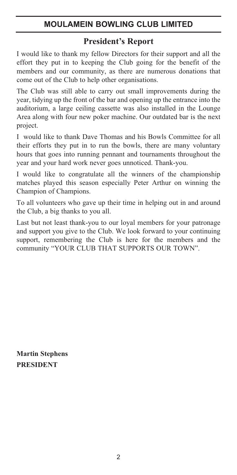### **President's Report**

I would like to thank my fellow Directors for their support and all the effort they put in to keeping the Club going for the benefit of the members and our community, as there are numerous donations that come out of the Club to help other organisations.

The Club was still able to carry out small improvements during the year, tidying up the front of the bar and opening up the entrance into the auditorium, a large ceiling cassette was also installed in the Lounge Area along with four new poker machine. Our outdated bar is the next project.

I would like to thank Dave Thomas and his Bowls Committee for all their efforts they put in to run the bowls, there are many voluntary hours that goes into running pennant and tournaments throughout the year and your hard work never goes unnoticed. Thank-you.

I would like to congratulate all the winners of the championship matches played this season especially Peter Arthur on winning the Champion of Champions.

To all volunteers who gave up their time in helping out in and around the Club, a big thanks to you all.

Last but not least thank-you to our loyal members for your patronage and support you give to the Club. We look forward to your continuing support, remembering the Club is here for the members and the community "YOUR CLUB THAT SUPPORTS OUR TOWN".

**Martin Stephens PRESIDENT**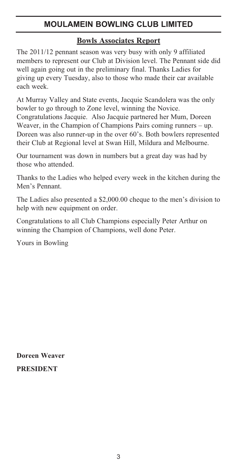### **Bowls Associates Report**

The 2011/12 pennant season was very busy with only 9 affiliated members to represent our Club at Division level. The Pennant side did well again going out in the preliminary final. Thanks Ladies for giving up every Tuesday, also to those who made their car available each week.

At Murray Valley and State events, Jacquie Scandolera was the only bowler to go through to Zone level, winning the Novice. Congratulations Jacquie. Also Jacquie partnered her Mum, Doreen Weaver, in the Champion of Champions Pairs coming runners – up. Doreen was also runner-up in the over 60's. Both bowlers represented their Club at Regional level at Swan Hill, Mildura and Melbourne.

Our tournament was down in numbers but a great day was had by those who attended.

Thanks to the Ladies who helped every week in the kitchen during the Men's Pennant.

The Ladies also presented a \$2,000.00 cheque to the men's division to help with new equipment on order.

Congratulations to all Club Champions especially Peter Arthur on winning the Champion of Champions, well done Peter.

Yours in Bowling

**Doreen Weaver PRESIDENT**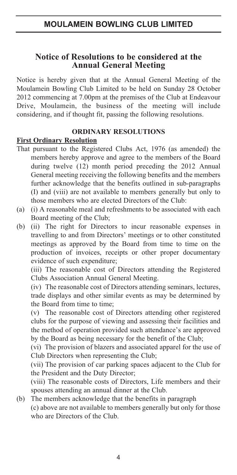### **Notice of Resolutions to be considered at the Annual General Meeting**

Notice is hereby given that at the Annual General Meeting of the Moulamein Bowling Club Limited to be held on Sunday 28 October 2012 commencing at 7.00pm at the premises of the Club at Endeavour Drive, Moulamein, the business of the meeting will include considering, and if thought fit, passing the following resolutions.

### **ORDINARY RESOLUTIONS**

### **First Ordinary Resolution**

- That pursuant to the Registered Clubs Act, 1976 (as amended) the members hereby approve and agree to the members of the Board during twelve (12) month period preceding the 2012 Annual General meeting receiving the following benefits and the members further acknowledge that the benefits outlined in sub-paragraphs (I) and (viii) are not available to members generally but only to those members who are elected Directors of the Club:
- (a) (i) A reasonable meal and refreshments to be associated with each Board meeting of the Club;
- (b) (ii) The right for Directors to incur reasonable expenses in travelling to and from Directors' meetings or to other constituted meetings as approved by the Board from time to time on the production of invoices, receipts or other proper documentary evidence of such expenditure;

(iii) The reasonable cost of Directors attending the Registered Clubs Association Annual General Meeting.

(iv) The reasonable cost of Directors attending seminars, lectures, trade displays and other similar events as may be determined by the Board from time to time;

(v) The reasonable cost of Directors attending other registered clubs for the purpose of viewing and assessing their facilities and the method of operation provided such attendance's are approved by the Board as being necessary for the benefit of the Club;

(vi) The provision of blazers and associated apparel for the use of Club Directors when representing the Club;

(vii) The provision of car parking spaces adjacent to the Club for the President and the Duty Director;

(viii) The reasonable costs of Directors, Life members and their spouses attending an annual dinner at the Club.

(b) The members acknowledge that the benefits in paragraph (c) above are not available to members generally but only for those who are Directors of the Club.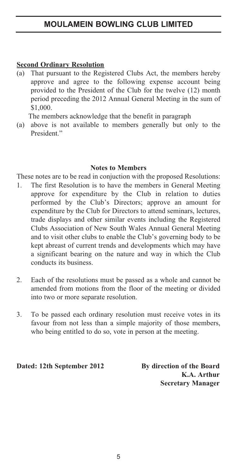### **Second Ordinary Resolution**

(a) That pursuant to the Registered Clubs Act, the members hereby approve and agree to the following expense account being provided to the President of the Club for the twelve (12) month period preceding the 2012 Annual General Meeting in the sum of \$1,000.

The members acknowledge that the benefit in paragraph

(a) above is not available to members generally but only to the President."

### **Notes to Members**

These notes are to be read in conjuction with the proposed Resolutions:

- 1. The first Resolution is to have the members in General Meeting approve for expenditure by the Club in relation to duties performed by the Club's Directors; approve an amount for expenditure by the Club for Directors to attend seminars, lectures, trade displays and other similar events including the Registered Clubs Association of New South Wales Annual General Meeting and to visit other clubs to enable the Club's governing body to be kept abreast of current trends and developments which may have a significant bearing on the nature and way in which the Club conducts its business.
- 2. Each of the resolutions must be passed as a whole and cannot be amended from motions from the floor of the meeting or divided into two or more separate resolution.
- 3. To be passed each ordinary resolution must receive votes in its favour from not less than a simple majority of those members, who being entitled to do so, vote in person at the meeting.

**Dated: 12th September 2012 By direction of the Board**

**K.A. Arthur Secretary Manager**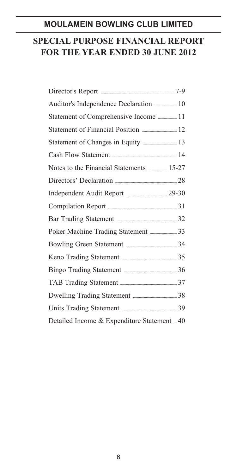# **SPECIAL PURPOSE FINANCIAL REPORT FOR THE YEAR ENDED 30 JUNE 2012**

| Director's Report <b>Election</b> 7-9             |  |
|---------------------------------------------------|--|
|                                                   |  |
|                                                   |  |
|                                                   |  |
|                                                   |  |
|                                                   |  |
|                                                   |  |
|                                                   |  |
|                                                   |  |
|                                                   |  |
| Bar Trading Statement <b>Manual</b> 32            |  |
| Poker Machine Trading Statement <b></b> 33        |  |
| Bowling Green Statement <b>Manual</b> 34          |  |
| Keno Trading Statement <b><i>manually</i></b> 25  |  |
|                                                   |  |
| TAB Trading Statement <b>Manual</b> 37            |  |
| Dwelling Trading Statement <b>Example 2018</b> 38 |  |
| Units Trading Statement <b><i>manually</i></b> 39 |  |
| Detailed Income & Expenditure Statement  40       |  |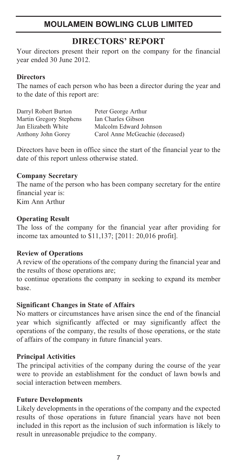### **DIRECTORS' REPORT**

Your directors present their report on the company for the financial year ended 30 June 2012.

### **Directors**

The names of each person who has been a director during the year and to the date of this report are:

| Darryl Robert Burton    | Peter George Arthur             |
|-------------------------|---------------------------------|
| Martin Gregory Stephens | Ian Charles Gibson              |
| Jan Elizabeth White     | Malcolm Edward Johnson          |
| Anthony John Gorey      | Carol Anne McGeachie (deceased) |

Directors have been in office since the start of the financial year to the date of this report unless otherwise stated.

### **Company Secretary**

The name of the person who has been company secretary for the entire financial year is:

Kim Ann Arthur

### **Operating Result**

The loss of the company for the financial year after providing for income tax amounted to \$11,137; [2011: 20,016 profit].

### **Review of Operations**

A review of the operations of the company during the financial year and the results of those operations are;

to continue operations the company in seeking to expand its member base.

### **Significant Changes in State of Affairs**

No matters or circumstances have arisen since the end of the financial year which significantly affected or may significantly affect the operations of the company, the results of those operations, or the state of affairs of the company in future financial years.

### **Principal Activities**

The principal activities of the company during the course of the year were to provide an establishment for the conduct of lawn bowls and social interaction between members.

### **Future Developments**

Likely developments in the operations of the company and the expected results of those operations in future financial years have not been included in this report as the inclusion of such information is likely to result in unreasonable prejudice to the company.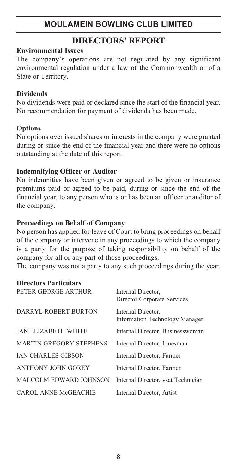### **DIRECTORS' REPORT**

### **Environmental Issues**

The company's operations are not regulated by any significant environmental regulation under a law of the Commonwealth or of a State or Territory.

### **Dividends**

No dividends were paid or declared since the start of the financial year. No recommendation for payment of dividends has been made.

### **Options**

No options over issued shares or interests in the company were granted during or since the end of the financial year and there were no options outstanding at the date of this report.

### **Indemnifying Officer or Auditor**

No indemnities have been given or agreed to be given or insurance premiums paid or agreed to be paid, during or since the end of the financial year, to any person who is or has been an officer or auditor of the company.

### **Proceedings on Behalf of Company**

No person has applied for leave of Court to bring proceedings on behalf of the company or intervene in any proceedings to which the company is a party for the purpose of taking responsibility on behalf of the company for all or any part of those proceedings.

The company was not a party to any such proceedings during the year.

| <b>Directors Particulars</b>   |                                                      |
|--------------------------------|------------------------------------------------------|
| PETER GEORGE ARTHUR            | Internal Director,<br>Director Corporate Services    |
| DARRYL ROBERT BURTON           | Internal Director,<br>Information Technology Manager |
| JAN ELIZABETH WHITE            | Internal Director, Businesswoman                     |
| <b>MARTIN GREGORY STEPHENS</b> | Internal Director, Linesman                          |
| <b>IAN CHARLES GIBSON</b>      | Internal Director, Farmer                            |
| ANTHONY JOHN GOREY             | Internal Director, Farmer                            |
| MALCOLM EDWARD JOHNSON         | Internal Director, ysat Technician                   |
| CAROL ANNE McGEACHIE           | Internal Director, Artist                            |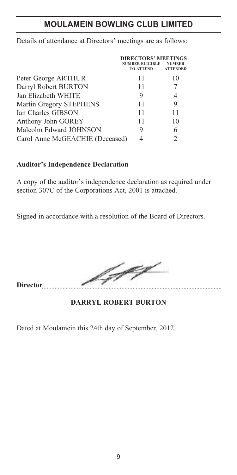|                                 | <b>DIRECTORS' MEETINGS</b><br><b>NUMBER ELIGIBLE</b><br><b>TO ATTEND</b> | <b>NUMBER</b><br><b>ATTENDED</b> |
|---------------------------------|--------------------------------------------------------------------------|----------------------------------|
| Peter George ARTHUR             | 11                                                                       | 10                               |
| Darryl Robert BURTON            | 11                                                                       |                                  |
| Jan Elizabeth WHITE             | 9                                                                        | 4                                |
| Martin Gregory STEPHENS         | 11                                                                       | 9                                |
| Ian Charles GIBSON              | 11                                                                       | 11                               |
| Anthony John GOREY              | 11                                                                       | 10                               |
| Malcolm Edward JOHNSON          | 9                                                                        | 6                                |
| Carol Anne McGEACHIE (Deceased) |                                                                          | $\mathfrak{D}$                   |

Details of attendance at Directors' meetings are as follows:

### **Auditor's Independence Declaration**

A copy of the auditor's independence declaration as required under section 307C of the Corporations Act, 2001 is attached.

Signed in accordance with a resolution of the Board of Directors.

yey **Director**

**DARRYL ROBERT BURTON**

Dated at Moulamein this 24th day of September, 2012.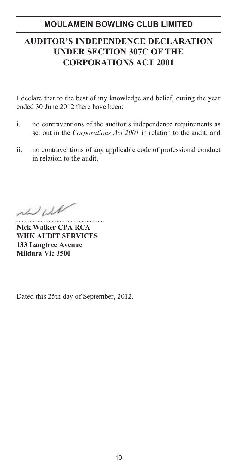# **AUDITOR'S INDEPENDENCE DECLARATION UNDER SECTION 307C OF THE CORPORATIONS ACT 2001**

I declare that to the best of my knowledge and belief, during the year ended 30 June 2012 there have been:

- i. no contraventions of the auditor's independence requirements as set out in the *Corporations Act 2001* in relation to the audit; and
- ii. no contraventions of any applicable code of professional conduct in relation to the audit.

 $1111$ 

**Nick Walker CPA RCA WHK AUDIT SERVICES 133 Langtree Avenue Mildura Vic 3500**

Dated this 25th day of September, 2012.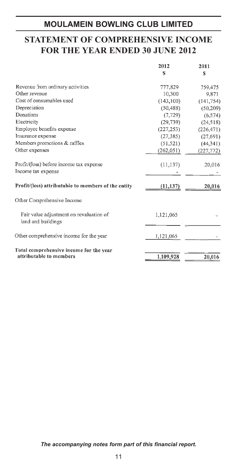# **STATEMENT OF COMPREHENSIVE INCOME FOR THE YEAR ENDED 30 JUNE 2012**

|                                                                    | 2012       | 2011       |
|--------------------------------------------------------------------|------------|------------|
|                                                                    | S          | S          |
| Revenue from ordinary activities                                   | 777,829    | 759,475    |
| Other revenue                                                      | 10,300     | 9,871      |
| Cost of consumables used                                           | (143, 100) | (141, 754) |
| Depreciation                                                       | (50, 488)  | (50, 209)  |
| Donations                                                          | (7, 729)   | (6, 574)   |
| Electricity                                                        | (29, 739)  | (24, 518)  |
| Employee benefits expense                                          | (227, 253) | (226, 471) |
| Insurance expense                                                  | (27, 385)  | (27, 691)  |
| Members promotions & raffles                                       | (51, 521)  | (44, 341)  |
| Other expenses                                                     | (262, 051) | (227, 772) |
| Profit/(loss) before income tax expense                            | (11, 137)  | 20,016     |
| Income tax expense                                                 |            |            |
| Profit/(loss) attributable to members of the entity                | (11, 137)  | 20,016     |
| Other Comprehensive Income                                         |            |            |
| Fair value adjustment on revaluation of<br>land and buildings      | 1,121,065  |            |
| Other comprehensive income for the year                            | 1,121,065  |            |
| Total comprehensive income for the year<br>attributable to members | 1,109,928  | 20,016     |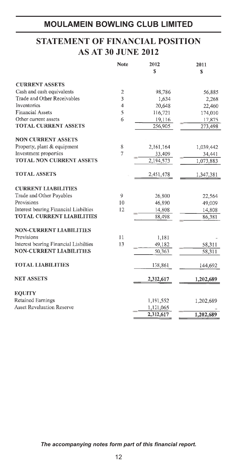# **STATEMENT OF FINANCIAL POSITION AS AT 30 JUNE 2012**

|                                       | Note           | 2012      | 2011      |
|---------------------------------------|----------------|-----------|-----------|
|                                       |                | S         | S         |
| <b>CURRENT ASSETS</b>                 |                |           |           |
| Cash and cash equivalents             | $\overline{c}$ | 98,786    | 56,885    |
| Trade and Other Receivables           | 3              | 1,634     | 2,268     |
| Inventories                           | $\overline{4}$ | 20,648    | 22,460    |
| <b>Financial Assets</b>               | 5              | 116,721   | 174,010   |
| Other current assets                  | 6              | 19,116    | 17,875    |
| <b>TOTAL CURRENT ASSETS</b>           |                | 256,905   | 273,498   |
| <b>NON CURRENT ASSETS</b>             |                |           |           |
| Property, plant & equipment           | 8              | 2,161,164 | 1,039,442 |
| Investment properties                 | 7              | 33,409    | 34,441    |
| <b>TOTAL NON CURRENT ASSETS</b>       |                | 2,194,573 | 1,073,883 |
| <b>TOTAL ASSETS</b>                   |                | 2,451,478 | 1,347,381 |
| <b>CURRENT LIABILITIES</b>            |                |           |           |
| Trade and Other Payables              | $\overline{9}$ | 26,800    | 22,564    |
| Provisions                            | 10             | 46,890    | 49,009    |
| Interest bearing Financial Liabilties | 12             | 14,808    | 14,808    |
| <b>TOTAL CURRENT LIABILITIES</b>      |                | 88,498    | 86,381    |
| <b>NON-CURRENT LIABILITIES</b>        |                |           |           |
| Provisions                            | 11             | 1.181     |           |
| Interest bearing Financial Liabilties | 13             | 49,182    | 58,311    |
| <b>NON-CURRENT LIABILITIES</b>        |                | 50,363    | 58,311    |
| <b>TOTAL LIABILITIES</b>              |                | 138,861   | 144,692   |
| <b>NET ASSETS</b>                     |                | 2,312,617 | 1,202,689 |
| <b>EQUITY</b>                         |                |           |           |
| <b>Retained Earnings</b>              |                | 1,191,552 | 1,202,689 |
| <b>Asset Revaluation Reserve</b>      |                | 1,121,065 |           |
|                                       |                | 2,312,617 | 1,202,689 |
|                                       |                |           |           |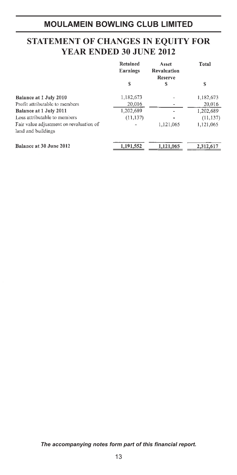# **STATEMENT OF CHANGES IN EQUITY FOR YEAR ENDED 30 JUNE 2012**

|                                         | Retained<br>Earnings | Asset<br>Revaluation<br>Reserve | Total     |
|-----------------------------------------|----------------------|---------------------------------|-----------|
|                                         | S                    | S                               | S         |
| Balance at 1 July 2010                  | 1,182,673            |                                 | 1,182,673 |
| Profit attributable to members          | 20,016               |                                 | 20,016    |
| Balance at 1 July 2011                  | 1,202,689            |                                 | 1,202,689 |
| Loss attributable to members            | (11, 137)            |                                 | (11, 137) |
| Fair value adjustment on revaluation of |                      | 1,121,065                       | 1,121,065 |
| land and buildings                      |                      |                                 |           |
| Balance at 30 June 2012                 | 1.191.552            | 1,121,065                       | 2.312.617 |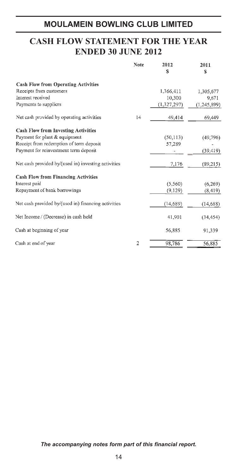# **CASH FLOW STATEMENT FOR THE YEAR ENDED 30 JUNE 2012**

|                                                     | <b>Note</b>    | 2012<br>\$  | 2011<br>S     |
|-----------------------------------------------------|----------------|-------------|---------------|
| <b>Cash Flow from Operating Activities</b>          |                |             |               |
| Receipts from customers                             |                | 1,366,411   | 1,305,677     |
| Interest received                                   |                | 10,300      | 9,671         |
| Payments to suppliers                               |                | (1,327,297) | (1, 245, 899) |
| Net cash provided by operating activities           | 14             | 49,414      | 69,449        |
| <b>Cash Flow from Investing Activities</b>          |                |             |               |
| Payment for plant & equipment                       |                | (50, 113)   | (49,796)      |
| Receipt from redemption of term deposit             |                | 57,289      |               |
| Payment for reinvestment term deposit               |                |             | (39, 419)     |
| Net cash provided by/(used in) investing activities |                | 7,176       | (89,215)      |
| <b>Cash Flow from Financing Activities</b>          |                |             |               |
| Interest paid                                       |                | (5,560)     | (6,269)       |
| Repayment of bank borrowings                        |                | (9,129)     | (8, 419)      |
| Net cash provided by/(used in) financing activities |                | (14,689)    | (14,688)      |
| Net Income / (Decrease) in cash held                |                | 41,901      | (34, 454)     |
| Cash at beginning of year                           |                | 56,885      | 91,339        |
| Cash at end of year                                 | $\overline{2}$ | 98,786      | 56,885        |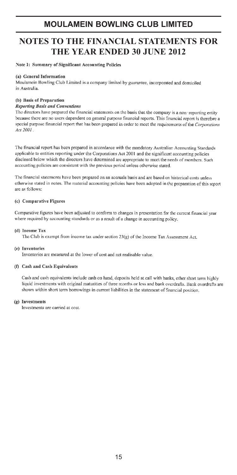# **NOTES TO THE FINANCIAL STATEMENTS FOR** THE YEAR ENDED 30 JUNE 2012

Note 1: Summary of Significant Accounting Policies

#### (a) General Information

Moulamein Bowling Club Limited is a company limited by guarantee, incorporated and domiciled in Anetralia

#### (b) Basis of Preparation

#### **Reporting Basis and Conventions**

The directors have prepared the financial statements on the basis that the company is a non-reporting entity because there are no users dependent on general purpose financial reports. This financial report is therefore a special purpose financial report that has been prepared in order to meet the requirements of the Corporations Act 2001

The financial report has been prepared in accordance with the mandatory Australian Accounting Standards applicable to entities reporting under the Corporations Act 2001 and the significant accounting policies disclosed below which the directors have determined are appropriate to meet the needs of members. Such accounting policies are consistent with the previous period unless otherwise stated.

The financial statements have been prepared on an accruals basis and are based on historical costs unless otherwise stated in notes. The material accounting policies have been adopted in the preparation of this report are as follows:

#### (c) Comparative Figures

Comparative figures have been adjusted to conform to changes in presentation for the current financial year where required by accounting standards or as a result of a change in accounting policy.

#### (d) Income Tax

The Club is exempt from income tax under section 23(g) of the Income Tax Assessment Act.

#### (e) Inventories

Inventories are measured at the lower of cost and net realisable value.

#### (f) Cash and Cash Equivalents

Cash and cash equivalents include cash on hand, deposits held at call with banks, other short term highly liquid investments with original maturities of three months or less and bank overdrafts. Bank overdrafts are shown within short term borrowings in current liabilities in the statement of financial position.

#### (a) Investments

Investments are carried at cost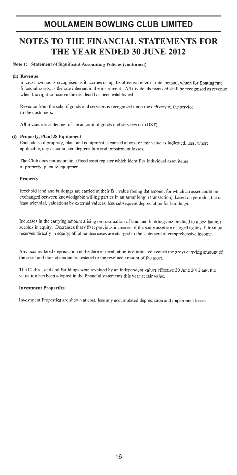### **NOTES TO THE FINANCIAL STATEMENTS FOR** THE YEAR ENDED 30 JUNE 2012

#### Note 1: Statement of Significant Accounting Policies (continued)

#### (h) Revenue

Interest revenue is recognised as it accrues using the effective interest rate method, which for floating rate financial assets, is the rate inherent in the instrument. All dividends received shall be recognised as revenue when the right to receive the dividend has been established.

Revenue from the sale of goods and services is recognised upon the delivery of the service to the customers

All revenue is stated net of the amount of goods and services tax (GST).

#### (i) Property Plant & Equipment

Each class of property, plant and equipment is carried at cost or fair value as indicated, less, where applicable, any accumulated depreciation and impairment losses.

The Club does not maintain a fixed asset register which identifies individual asset items of property, plant & equipment.

#### Property

Freehold land and buildings are carried at their fair value (being the amount for which an asset could be exchanged between knowledgable willing parties in an arms' length transaction), based on periodic, but at least triennial, valuations by external valuers, less subsequent depreciation for buildings.

Increases in the carrying amount arising on revaluation of land and buildings are credited to a revaluation surplus in equity. Decreases that offset previous increases of the same asset are charged against fair value reserves directly in equity; all other decreases are charged to the statement of comprehensive income.

Any accumulated depreciation at the date of revaluation is eliminated against the gross carrying amount of the asset and the net amount is restated to the revalued amount of the asset.

The Club's Land and Buildings were revalued by an independent valuer effective 30 June 2012 and the valuation has been adopted in the financial statements this year at fair value.

#### **Investment Properties**

Investment Properties are shown at cost, less any accumulated depreciation and impairment losses.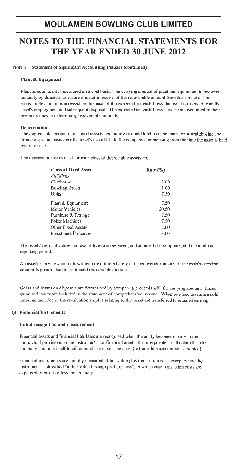# **NOTES TO THE FINANCIAL STATEMENTS FOR** THE YEAR ENDED 30 JUNE 2012

Note 1: Statement of Significant Accounting Policies (continued)

#### Plant & Equipment

Plant & equipment is measured on a cost basis. The carrying amount of plant and equipment is reviewed annually by directors to ensure it is not in excess of the recoverable amount from these assets. The recoverable amount is assessed on the basis of the expected net cash flows that will be received from the asset's employment and subsequent disposal. The expected net cash flows have been discounted to their present values in determining recoverable amounts.

#### Depreciation

The depreciable amount of all fixed asssets, excluding freehold land, is depreciated on a straight-line and dimishing value basis over the asset's useful life to the company commencing from the time the asset is held ready for use.

The depreciation rates used for each class of depreciable assets are:

| <b>Class of Fixed Asset</b>  | Rate $(\%)$ |  |
|------------------------------|-------------|--|
| Buildings                    |             |  |
| Clubhouse                    | 2.00        |  |
| <b>Bowling Green</b>         | 1.00        |  |
| Units                        | 7.50        |  |
| Plant & Equipment            | 7.50        |  |
| Motor Vehicles               | 20.50       |  |
| Furniture & Fittings         | 7.50        |  |
| Poker Machines               | 7.50        |  |
| Other Fixed Assets           | 7.00        |  |
| <b>Investment Properties</b> | 3.00        |  |

The assets' residual values and useful lives are reviewed, and adjusted if appropriate, at the end of each reporting period.

An asset's carrying amount is written down immediately to its recoverable amount if the asset's carrying amount is greater than its estimated recoverable amount.

Gains and losses on disposals are determined by comparing proceeds with the carrying amount. These gains and losses are included in the statement of comprehensive income. When revalued assets are sold, amounts included in the revaluation surplus relating to that asset are transferred to retained earnings.

#### (j) Financial Instruments

#### Initial recognition and measurement

Financial assets and financial liabilities are recognised when the entity becomes a party to the contractual provisions to the instrument. For financial assets, this is equivalent to the date that the company commits itself to either purchase or sell the asset (ie trade date accounting is adopted).

Financial instruments are initially measured at fair value plus transaction costs except where the instrument is classified "at fair value through profit or loss", in which case transaction costs are expensed to profit or loss immediately.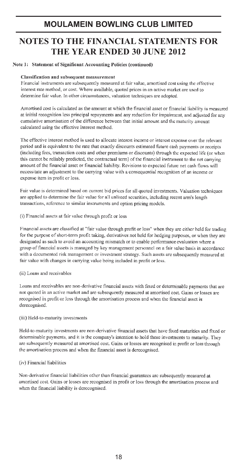# **NOTES TO THE FINANCIAL STATEMENTS FOR** THE YEAR ENDED 30 JUNE 2012

#### Note 1: Statement of Significant Accounting Policies (continued)

#### Classification and subsequent measurement

Financial instruments are subsequently measured at fair value, amortised cost using the effective interest rate method, or cost. Where available, quoted prices in an active market are used to determine fair value. In other circumstances, valuation techniques are adopted.

Amortised cost is calculated as the amount at which the financial asset or financial liability is measured at initial recognition less principal repayments and any reduction for impairment, and adjusted for any cumulative amortisation of the difference between that initial amount and the maturity amount calculated using the effective interest method.

The effective interest method is used to allocate interest income or interest expense over the relevant period and is equivalent to the rate that exactly discounts estimated future cash payments or receipts (including fees, transaction costs and other premiums or discounts) through the expected life (or when this cannot be reliably predicted, the contractual term) of the financial instrument to the net carrying amount of the financial asset or financial liability. Revisions to expected future net cash flows will necessitate an adjustment to the carrying value with a consequential recognition of an income or expense item in profit or loss.

Fair value is determined based on current bid prices for all quoted investments. Valuation techniques are applied to determine the fair value for all unlisted securities, including recent arm's length transactions, reference to similar instruments and option pricing models.

(i) Financial assets at fair value through profit or loss

Financial assets are classified at "fair value through profit or loss" when they are either held for trading for the purpose of short-term profit taking, derivatives not held for hedging purposes, or when they are designated as such to avoid an accounting mismatch or to enable performance evaluation where a group of financial assets is managed by key management personnel on a fair value basis in accordance with a documented risk management or investment strategy. Such assets are subsequently measured at fair value with changes in carrying value being included in profit or loss.

#### (ii) Loans and receivables

Loans and receivables are non-derivative financial assets with fixed or determinable payments that are not quoted in an active market and are subsequently measured at amortised cost. Gains or losses are recognised in profit or loss through the amortisation process and when the financial asset is derecognised.

#### (iii) Held-to-maturity investments

Held-to-maturity investments are non-derivative financial assets that have fixed maturities and fixed or determinable payments, and it is the company's intention to hold these investments to maturity. They are subsequently measured at amortised cost. Gains or losses are recognised in profit or loss through the amortisation process and when the financial asset is derecognised.

#### (iv) Financial liabilities

Non-derivative financial liabilities other than financial guarantees are subsequently measured at amortised cost. Gains or losses are recognised in profit or loss through the amortisation process and when the financial liability is derecognised.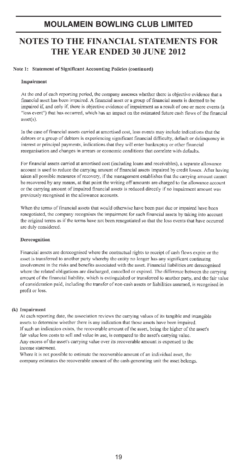# **NOTES TO THE FINANCIAL STATEMENTS FOR** THE YEAR ENDED 30 JUNE 2012

#### Note 1: Statement of Significant Accounting Policies (continued)

#### Impairment

At the end of each reporting period, the company assesses whether there is objective evidence that a financial asset has been impaired. A financial asset or a group of financial assets is deemed to be impaired if, and only if, there is objective evidence of impairment as a result of one or more events (a "loss event") that has occurred, which has an impact on the estimated future cash flows of the financial  $asset(s)$ .

In the case of financial assets carried at amortised cost, loss events may include indications that the debtors or a group of debtors is experiencing significant financial difficulty, default or delinquency in interest or principal payments, indications that they will enter bankruptcy or other financial reorganisation and changes in arrears or economic conditions that correlate with defaults.

For financial assets carried at amortised cost (including loans and receivables), a separate allowance account is used to reduce the carrying amount of financial assets impaired by credit losses. After having taken all possible measures of recovery, if the management establishes that the carrying amount cannot be recovered by any means, at that point the writing off amounts are charged to the allowance account or the carrying amount of impaired financial assets is reduced directly if no impairment amount was previously recognised in the allowance accounts.

When the terms of financial assets that would otherwise have been past due or impaired have been renegotiated, the company recognises the impairment for such financial assets by taking into account the original terms as if the terms have not been renegotiated so that the loss events that have occurred are duly considered.

#### Derecognition

Financial assets are derecognised where the contractual rights to receipt of cash flows expire or the asset is transferred to another party whereby the entity no longer has any significant continuing involvement in the risks and benefits associated with the asset. Financial liabilities are derecognised where the related obligations are discharged, cancelled or expired. The difference between the carrying amount of the financial liability, which is extinguished or transferred to another party, and the fair value of consideration paid, including the transfer of non-cash assets or liabilities assumed, is recognised in profit or loss.

#### (k) Impairment

At each reporting date, the association reviews the carrying values of its tangible and intangible assets to determine whether there is any indication that those assets have been impaired. If such an indication exists, the recoverable amount of the asset, being the higher of the asset's fair value less costs to sell and value in use, is compared to the asset's carrying value. Any excess of the asset's carrying value over its recoverable amount is expensed to the income statement

Where it is not possible to estimate the recoverable amount of an individual asset, the company estimates the recoverable amount of the cash-generating unit the asset belongs.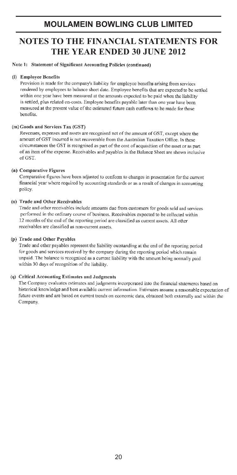# **NOTES TO THE FINANCIAL STATEMENTS FOR** THE YEAR ENDED 30 JUNE 2012

#### Note 1: Statement of Significant Accounting Policies (continued)

#### (I) Employee Benefits

Provision is made for the company's liability for employee benefits arising from services rendered by employees to balance sheet date. Employee benefits that are expected to be settled within one year have been measured at the amounts expected to be paid when the liability is settled, plus related on-costs. Employee benefits payable later than one year have been measured at the present value of the estimated future cash outflows to be made for those benefits.

#### (m) Goods and Services Tax (GST)

Revenues, expenses and assets are recognised net of the amount of GST, except where the amount of GST incurred is not recoverable from the Australian Taxation Office. In these circumstances the GST is recognised as part of the cost of acquisition of the asset or as part of an item of the expense. Receivables and payables in the Balance Sheet are shown inclusive of GST.

#### (n) Comparative Figures

Comparative figures have been adjusted to conform to changes in presentation for the current financial year where required by accounting standards or as a result of changes in accounting policy.

#### (a) Trade and Other Receivables

Trade and other receivables include amounts due from customers for goods sold and services performed in the ordinary course of business. Receivables expected to be collected within 12 months of the end of the reporting period are classified as current assets. All other receivables are classified as non-current assets.

#### (p) Trade and Other Pavables

Trade and other payables represent the liability outstanding at the end of the reporting period for goods and services received by the company during the reporting period which remain unpaid. The balance is recognised as a current liability with the amount being normally paid within 30 days of recognition of the liability.

#### (q) Critical Accounting Estimates and Judgments

The Company evaluates estimates and judgments incorporated into the financial statements based on historical knowledge and best available current information. Estimates assume a reasonable expectation of future events and are based on current trends on economic data, obtained both externally and within the Company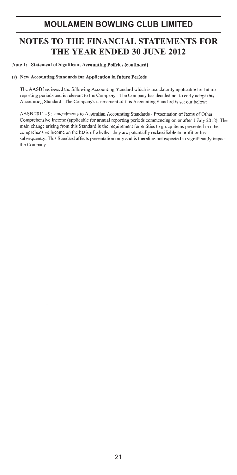### **NOTES TO THE FINANCIAL STATEMENTS FOR THE YEAR ENDED 30 JUNE 2012**

Note 1: Statement of Significant Accounting Policies (continued)

#### (r) New Accounting Standards for Application in future Periods

The AASB has issued the following Accounting Standard which is mandatorily applicable for future reporting periods and is relevant to the Company. The Company has decided not to early adopt this Accounting Standard. The Company's assessment of this Accounting Standard is set out below:

AASB 2011 - 9: amendments to Australian Accounting Standards - Presentation of Items of Other Comprehensive Income (applicable for annual reporting periods commencing on or after 1 July 2012). The main change arising from this Standard is the requirement for entities to group items presented in other comprehensive income on the basis of whether they are potentially reclassifiable to profit or loss subsequently. This Standard affects presentation only and is therefore not expected to significantly impact the Company.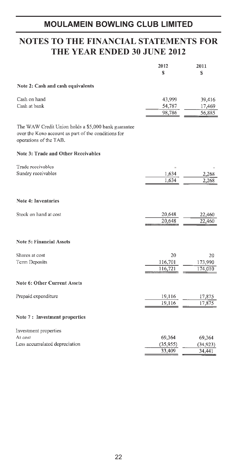# **NOTES TO THE FINANCIAL STATEMENTS FOR THE YEAR ENDED 30 JUNE 2012**

|                                                                                                                                      | 2012      | 2011      |
|--------------------------------------------------------------------------------------------------------------------------------------|-----------|-----------|
|                                                                                                                                      | S         | S         |
| Note 2: Cash and cash equivalents                                                                                                    |           |           |
| Cash on hand                                                                                                                         | 43,999    | 39,416    |
| Cash at bank                                                                                                                         | 54,787    | 17,469    |
|                                                                                                                                      | 98,786    | 56,885    |
| The WAW Credit Union holds a \$5,000 bank guarantee<br>over the Keno account as part of the conditions for<br>operations of the TAB. |           |           |
| Note 3: Trade and Other Receivables                                                                                                  |           |           |
| Trade receivables                                                                                                                    |           |           |
| Sundry receivables                                                                                                                   | 1,634     | 2,268     |
|                                                                                                                                      | 1,634     | 2,268     |
| <b>Note 4: Inventories</b>                                                                                                           |           |           |
|                                                                                                                                      |           |           |
| Stock on hand at cost                                                                                                                | 20,648    | 22,460    |
|                                                                                                                                      | 20.648    | 22,460    |
| <b>Note 5: Financial Assets</b>                                                                                                      |           |           |
| Shares at cost                                                                                                                       | 20        | 20        |
| <b>Term Deposits</b>                                                                                                                 | 116,701   | 173,990   |
|                                                                                                                                      | 116,721   | 174,010   |
| Note 6: Other Current Assets                                                                                                         |           |           |
| Prepaid expenditure                                                                                                                  | 19,116    | 17,875    |
|                                                                                                                                      | 19,116    | 17,875    |
| Note 7: Investment properties                                                                                                        |           |           |
| Investment properties                                                                                                                |           |           |
| At cost                                                                                                                              | 69,364    | 69,364    |
| Less accumulated depreciation                                                                                                        | (35, 955) | (34, 923) |
|                                                                                                                                      | 33,409    | 34,441    |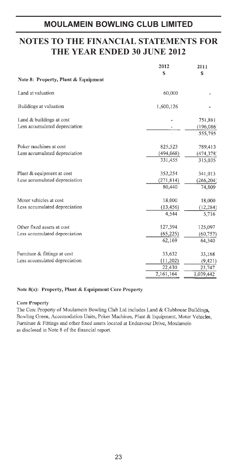### **NOTES TO THE FINANCIAL STATEMENTS FOR THE YEAR ENDED 30 JUNE 2012**

|                                     | 2012       | 2011       |
|-------------------------------------|------------|------------|
|                                     | S          | S          |
| Note 8: Property, Plant & Equipment |            |            |
| Land at valuation                   | 60,000     |            |
| Buildings at valuation              | 1,600,126  |            |
| Land & buildings at cost            |            | 751,881    |
| Less accumulated depreciation       |            | (196,086)  |
|                                     |            | 555,795    |
| Poker machines at cost              | 825.523    | 789,413    |
| Less accumulated depreciation       | (494, 068) | (474, 378) |
|                                     | 331,455    | 315,035    |
| Plant & equipment at cost           | 352,254    | 341,013    |
| Less accumulated depreciation       | (271, 814) | (266, 204) |
|                                     | 80,440     | 74,809     |
| Motor vehicles at cost              | 18,000     | 18,000     |
| Less accumulated depreciation       | (13, 456)  | (12, 284)  |
|                                     | 4,544      | 5,716      |
| Other fixed assets at cost          | 127,394    | 125,097    |
| Less accumulated depreciation       | (65, 225)  | (60, 757)  |
|                                     | 62,169     | 64,340     |
| Furniture & fittings at cost        | 33,632     | 33,168     |
| Less accumulated depreciation       | (11, 202)  | (9,421)    |
|                                     | 22,430     | 23,747     |
|                                     | 2,161,164  | 1,039,442  |

#### Note 8(a): Property, Plant & Equipment Core Property

#### **Core Property**

The Core Property of Moulamein Bowling Club Ltd includes Land & Clubhouse Buildings, Bowling Green, Accomodation Units, Poker Machines, Plant & Equipment, Motor Vehicles, Furniture & Fittings and other fixed assets located at Endeavour Drive, Moulamein as disclosed in Note 8 of the financial report.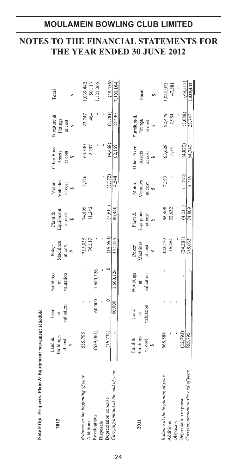# **NOTES TO THE FINANCIAL STATEMENTS FOR THE YEAR ENDED 30 JUNE 2012**

| 2012                               | <b>Buildings</b><br>Land $\&$ | Land<br>đ | Buildings<br>$\overline{a}$ | Aachines<br>Poker | Plant &<br>Equipment | Vehicles<br>Motor | Other Fixed<br>Assets | Furniture &<br>Fittings | Total        |
|------------------------------------|-------------------------------|-----------|-----------------------------|-------------------|----------------------|-------------------|-----------------------|-------------------------|--------------|
|                                    | at cost<br>s,                 | valuation | valuation                   | at cost           | at cost              | at cost           | at cost               | at cost                 |              |
| Balance at the beginning of year   | 555,795                       |           |                             | 315,035           | 74,809               | 5,716             | 64,340                | 23,747                  | ,039,442     |
| Additions                          |                               |           |                             | 36,110            | 11,242               |                   | 2,297                 | 464                     | 50,113       |
| Revaluations<br>Disposals          | (539,061)                     | 60,000    | ,600,126                    |                   |                      |                   |                       |                         | ,121,065     |
| Depreciation expense               | (16, 734)                     |           | $\circ$                     | (19, 690)         | (5, 611)             | (1.172)           | (4,468)               | (1,781)                 | (49, 456)    |
| Carrying amount at the end of year |                               | 60,000    | 1,600,126                   | 331,455           | 80,440               | 4,544             | 62,169                | 22,430                  | 2,161,164    |
|                                    |                               | Land      | <b>Buildings</b>            |                   | Plant $\&$           | Motor             | <b>Other Fixed</b>    | Furniture &             |              |
| 2011                               | Land &<br>Buildings           | $\vec{a}$ | ä                           | Poker<br>Machines | Equipment            | Vehicles          | Assets                | Fittings                | <b>Total</b> |
|                                    | at cost                       | raluation | valuation                   | at cost           | at cost              | at cost           | at cost               | at cost                 |              |
|                                    |                               |           |                             |                   |                      |                   |                       |                         |              |
| Balance at the beginning of year   | 568,588                       |           |                             | 322,779           | 56,408               | 7,190             | 63,629                | 22,479                  | ,041,073     |
| Additions<br><b>Disposals</b>      |                               |           |                             | 16,464            | 22,632               |                   | 5,531                 | 2,954                   | 47,581       |
| Depreciation expense               | (12, 793)                     |           |                             | (24, 208)         | (4,231)              | (1,474)           | (4,820)               | (1,686)                 | (49,212)     |
| Carrying amount at the end of year | 555,795                       |           |                             | 315,035           | 74,809               | 5.716             | 64,340                | 23,747                  | ,039,442     |
|                                    |                               |           |                             |                   |                      |                   |                       |                         |              |

Note 8 (b): Property, Plant & Equipment movement schedule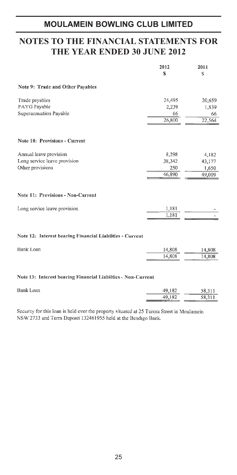### **NOTES TO THE FINANCIAL STATEMENTS FOR THE YEAR ENDED 30 JUNE 2012**

|                                                                            | 2012<br>S                        | 2011<br>S                          |
|----------------------------------------------------------------------------|----------------------------------|------------------------------------|
| Note 9: Trade and Other Payables                                           |                                  |                                    |
| Trade payables<br>PAYG Payable<br>Superannuation Payable                   | 24,495<br>2,239<br>66<br>26,800  | 20,659<br>1,839<br>66<br>22,564    |
| <b>Note 10: Provisions - Current</b>                                       |                                  |                                    |
| Annual leave provision<br>Long service leave provision<br>Other provisions | 8,298<br>38,342<br>250<br>46,890 | 4,182<br>43,177<br>1,650<br>49,009 |
| Note 11: Provisions - Non-Current                                          |                                  |                                    |
| Long service leave provision                                               | 1,181<br>1,181                   |                                    |

### Note 12: Interest bearing Financial Liabilties - Current

| Bank Loan | 14.808            | 14,808          |
|-----------|-------------------|-----------------|
|           | 14,808<br>------- | 14.808<br>----- |

#### Note 13: Interest bearing Financial Liabilties - Non-Current

| Bank Loan | 49,182 | 58,311 |
|-----------|--------|--------|
|           | 49.182 | 58.311 |

Security for this loan is held over the property situated at 25 Turora Street in Moulamein NSW 2733 and Term Deposit 132461955 held at the Bendigo Bank.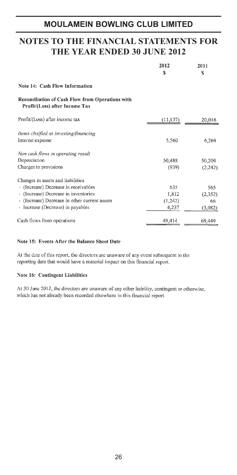### **NOTES TO THE FINANCIAL STATEMENTS FOR THE YEAR ENDED 30 JUNE 2012**

|                                                                                    | 2012<br>S | 2011<br>S |
|------------------------------------------------------------------------------------|-----------|-----------|
| Note 14: Cash Flow Information                                                     |           |           |
| Reconciliation of Cash Flow from Operations with<br>Profit/(Loss) after Income Tax |           |           |
| Profit/(Loss) after income tax                                                     | (11, 137) | 20,016    |
| Items clssified as investing/financing                                             |           |           |
| Interest expense                                                                   | 5,560     | 6,269     |
| Non cash flows in operating result                                                 |           |           |
| Depreciation                                                                       | 50,488    | 50,209    |
| Charges to provisions                                                              | (939)     | (2,242)   |
| Changes in assets and liabilities                                                  |           |           |
| - (Increase) Decrease in receivables                                               | 635       | 565       |
| - (Increase) Decrease in inventories                                               | 1,812     | (2, 352)  |
| - (Increase) Decrease in other current assets                                      | (1,242)   | 66        |
| - Increase (Decrease) in payables                                                  | 4,237     | (3,082)   |
| Cash flows from operations                                                         | 49,414    | 69,449    |

#### Note 15: Events After the Balance Sheet Date

At the date of this report, the directors are unaware of any event subsequent to the reporting date that would have a material impact on this financial report.

#### Note 16: Contingent Liabilities

At 30 June 2012, the directors are unaware of any other liability, contingent or otherwise, which has not already been recorded elsewhere in this financial report.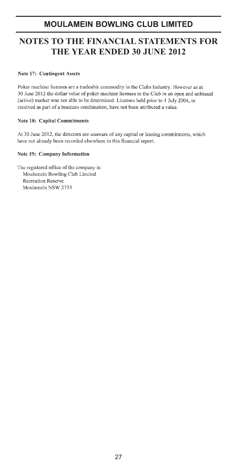# **NOTES TO THE FINANCIAL STATEMENTS FOR THE YEAR ENDED 30 JUNE 2012**

#### Note 17: Contingent Assets

Poker machine licenses are a tradeable commodity in the Clubs Industry. However as at 30 June 2012 the dollar value of poker machine licenses to the Club in an open and unbiased (active) market was not able to be determined. Licenses held prior to 1 July 2004, or received as part of a business combination, have not been attributed a value.

#### **Note 18: Capital Commitments**

At 30 June 2012, the directors are unaware of any capital or leasing commitments, which have not already been recorded elsewhere in this financial report.

#### Note 19: Company Information

The registered office of the company is: Moulamein Bowling Club Limited Recreation Reserve Moulamein NSW 2733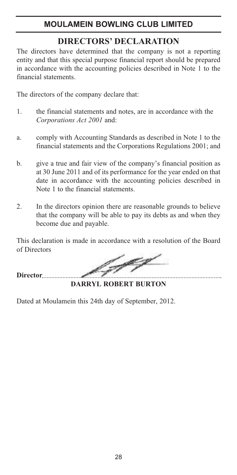# **DIRECTORS' DECLARATION**

The directors have determined that the company is not a reporting entity and that this special purpose financial report should be prepared in accordance with the accounting policies described in Note 1 to the financial statements.

The directors of the company declare that:

- 1. the financial statements and notes, are in accordance with the *Corporations Act 2001* and:
- a. comply with Accounting Standards as described in Note 1 to the financial statements and the Corporations Regulations 2001; and
- b. give a true and fair view of the company's financial position as at 30 June 2011 and of its performance for the year ended on that date in accordance with the accounting policies described in Note 1 to the financial statements.
- 2. In the directors opinion there are reasonable grounds to believe that the company will be able to pay its debts as and when they become due and payable.

This declaration is made in accordance with a resolution of the Board of Directors

**Director**

**DARRYL ROBERT BURTON**

Dated at Moulamein this 24th day of September, 2012.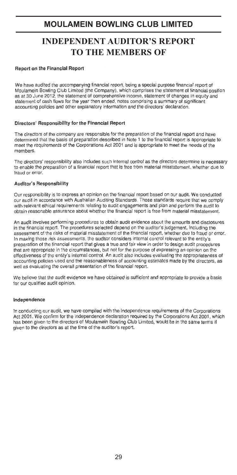# **INDEPENDENT AUDITOR'S REPORT TO THE MEMBERS OF**

#### Report on the Financial Report

We have audited the accompanying financial report, being a special purpose financial report of Moulamein Bowling Club Limited (the Company), which comprises the statement of financial position as at 30 June 2012, the statement of comprehensive income, statement of changes in equity and statement of cash flows for the year then ended, notes comprising a summary of significant accounting policies and other explanatory information and the directors' declaration

#### Directors' Responsibility for the Financial Report

The directors of the company are responsible for the preparation of the financial report and have determined that the basis of preparation described in Note 1 to the financial report is appropriate to meet the requirements of the Corporations Act 2001 and is appropriate to meet the needs of the members

The directors' responsibility also includes such internal control as the directors determine is necessary to enable the preparation of a financial report that is free from material misstatement, whether due to fraud or error.

#### **Auditor's Responsibility**

Our responsibility is to express an opinion on the financial report based on our audit. We conducted our audit in accordance with Australian Auditing Standards. Those standards require that we comply with relevant ethical requirements relating to audit engagements and plan and perform the audit to obtain reasonable assurance about whether the financial report is free from material misstatement.

An audit involves performing procedures to obtain audit evidence about the amounts and disclosures in the financial report. The procedures selected depend on the auditor's judgement, including the assessment of the risks of material misstatement of the financial report, whether due to fraud or error. In making those risk assessments, the auditor considers internal control relevant to the entity's preparation of the financial report that gives a true and fair view in order to design audit procedures that are appropriate in the circumstances, but not for the purpose of expressing an opinion on the effectiveness of the entity's internal control. An audit also includes evaluating the appropriateness of accounting policies used and the reasonableness of accounting estimates made by the directors, as well as evaluating the overall presentation of the financial report.

We believe that the audit evidence we have obtained is sufficient and appropriate to provide a basis for our qualified audit opinion.

#### Independence

In conducting our audit, we have complied with the independence requirements of the Corporations Act 2001. We confirm for the independence declaration required by the Corporations Act 2001, which has been given to the directors of Moulamein Bowling Club Limited, would be in the same terms if given to the directors as at the time of the auditor's report.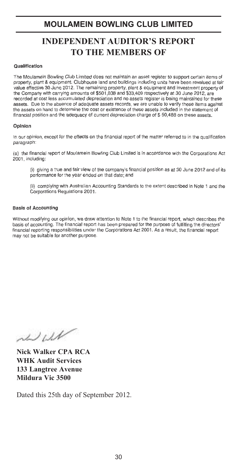# **INDEPENDENT AUDITOR'S REPORT TO THE MEMBERS OF**

#### Qualification

The Moulamein Bowling Club Limited does not maintain an asset register to support certain items of property, plant & equipment. Clubhouse land and buildings including units have been revalued at fair value effective 30 June 2012. The remaining property, plant & equipment and investment property of the Company with carrying amounts of \$501,038 and \$33,409 respectively at 30 June 2012, are recorded at cost less accumulated depreciation and no assets register is being maintained for these assets. Due to the absence of adequate assets records, we are unable to verify these items against the assets on hand to determine the cost or existence of these assets included in the statement of financial position and the adequacy of current depreciation charge of \$50,488 on these assets.

#### Opinion

In our opinion, except for the effects on the financial report of the matter referred to in the qualification paragraph:

(a) the financial report of Moulamein Bowling Club Limited is in accordance with the Corporations Act 2001, including:

(i) giving a true and fair view of the company's financial position as at 30 June 2012 and of its performance for the year ended on that date; and

(ii) complying with Australian Accounting Standards to the extent described in Note 1 and the Corporations Regulations 2001.

#### **Basis of Accounting**

Without modifying our opinion, we draw attention to Note 1 to the financial report, which describes the basis of accounting. The financial report has been prepared for the purpose of fulfilling the directors' financial reporting responsibilities under the Corporations Act 2001. As a result, the financial report may not be suitable for another purpose.

 $1111$ 

**Nick Walker CPA RCA WHK Audit Services 133 Langtree Avenue Mildura Vic 3500**

Dated this 25th day of September 2012.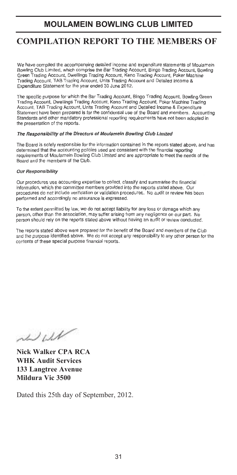# **COMPILATION REPORT TO THE MEMBERS OF**

We have compiled the accompanying detailed income and expenditure statements of Moulamein Bowling Club Limited, which comprise the Bar Trading Account, Bingo Trading Account, Bowling Green Trading Account, Dwellings Trading Account, Keno Trading Account, Poker Machine Trading Account, TAB Trading Account, Units Trading Account and Detailed Income & Expenditure Statement for the year ended 30 June 2012.

The specific purpose for which the Bar Trading Account, Bingo Trading Account, Bowling Green Trading Account, Dwellings Trading Account, Keno Trading Account, Poker Machine Trading Account, TAB Trading Account, Units Trading Account and Detailed Income & Expenditure Statement have been prepared is for the confidential use of the Board and members. Accounting Standards and other mandatory professional reporting requirements have not been adopted in the presentation of the reports

#### The Responsibility of the Directors of Moulamein Bowling Club Limited

The Board is solely responsible for the information contained in the reports stated above, and has determined that the accounting policies used are consistent with the financial reporting requirements of Moulamein Bowling Club Limited and are appropriate to meet the needs of the Board and the members of the Club.

#### **Our Responsibility**

Our procedures use accounting expertise to collect, classify and summarise the financial information, which the committee members provided into the reports stated above. Our procedures do not include verification or validation procedures. No audit or review has been performed and accordingly no assurance is expressed.

To the extent permitted by law, we do not accept liability for any loss or damage which any person, other than the association, may suffer arising from any negligence on our part. No person should rely on the reports stated above without having an audit or review conducted.

The reports stated above were prepared for the benefit of the Board and members of the Club and the purpose identified above. We do not accept any responsibility to any other person for the contents of these special purpose financial reports.

 $1111$ 

**Nick Walker CPA RCA WHK Audit Services 133 Langtree Avenue Mildura Vic 3500**

Dated this 25th day of September, 2012.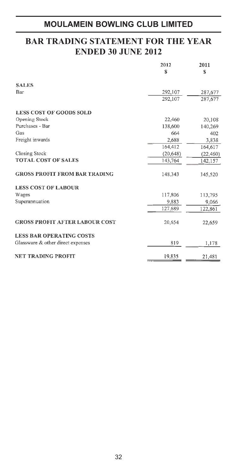# **BAR TRADING STATEMENT FOR THE YEAR ENDED 30 JUNE 2012**

|                                       | 2012      | 2011      |
|---------------------------------------|-----------|-----------|
|                                       | S         | S         |
| <b>SALES</b>                          |           |           |
| Bar                                   | 292,107   | 287,677   |
|                                       | 292,107   | 287,677   |
| <b>LESS COST OF GOODS SOLD</b>        |           |           |
| Opening Stock                         | 22,460    | 20,108    |
| Purchases - Bar                       | 138,600   | 140,269   |
| Gas                                   | 664       | 402       |
| Freight inwards                       | 2,688     | 3,838     |
|                                       | 164,412   | 164,617   |
| Closing Stock                         | (20, 648) | (22, 460) |
| <b>TOTAL COST OF SALES</b>            | 143,764   | 142,157   |
| <b>GROSS PROFIT FROM BAR TRADING</b>  | 148,343   | 145,520   |
| <b>LESS COST OF LABOUR</b>            |           |           |
| Wages                                 | 117,806   | 113,795   |
| Superannuation                        | 9,883     | 9,066     |
|                                       | 127,689   | 122,861   |
| <b>GROSS PROFIT AFTER LABOUR COST</b> | 20,654    | 22,659    |
| <b>LESS BAR OPERATING COSTS</b>       |           |           |
| Glassware & other direct expenses     | 819       | 1,178     |
| <b>NET TRADING PROFIT</b>             | 19,835    | 21,481    |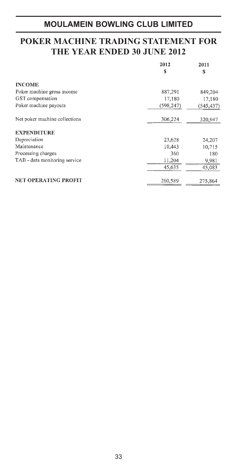### **POKER MACHINE TRADING STATEMENT FOR THE YEAR ENDED 30 JUNE 2012**

|                               | 2012<br>S  | 2011<br>S  |
|-------------------------------|------------|------------|
| <b>INCOME</b>                 |            |            |
| Poker machine gross income    | 887,291    | 849,204    |
| GST compensation              | 17,180     | 17,180     |
| Poker machine payouts         | (598, 247) | (545, 437) |
| Net poker machine collections | 306,224    | 320,947    |
| <b>EXPENDITURE</b>            |            |            |
| Depreciation                  | 23,628     | 24,207     |
| Maintenance                   | 10,443     | 10,715     |
| Processing charges            | 360        | 180        |
| TAB - data monitoring service | 11,204     | 9,981      |
|                               | 45,635     | 45,083     |
| <b>NET OPERATING PROFIT</b>   | 260,589    | 275,864    |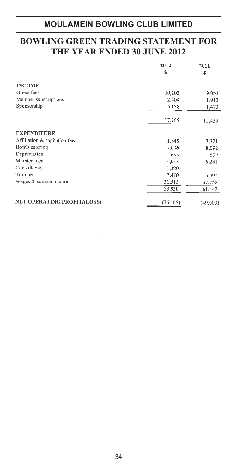# **BOWLING GREEN TRADING STATEMENT FOR THE YEAR ENDED 30 JUNE 2012**

|                               | 2012<br>S | 2011<br>S |
|-------------------------------|-----------|-----------|
| <b>INCOME</b>                 |           |           |
| Green fees                    | 10,203    | 9,053     |
| Member subscriptions          | 2,404     | 1,913     |
| Sponsorship                   | 5,158     | 1,473     |
|                               | 17,765    | 12,439    |
| <b>EXPENDITURE</b>            |           |           |
| Affiliation & capitation fees | 1,845     | 3,321     |
| Bowls catering                | 7,096     | 8,092     |
| Depreciation                  | 633       | 639       |
| Maintenance                   | 4,053     | 5,241     |
| Consultancy                   | 1,320     |           |
| Trophies                      | 7,470     | 6,391     |
| Wages & superannuation        | 31,513    | 37,758    |
|                               | 53,930    | 61,442    |
| NET OPERATING PROFIT/(LOSS)   | (36, 165) | (49,003)  |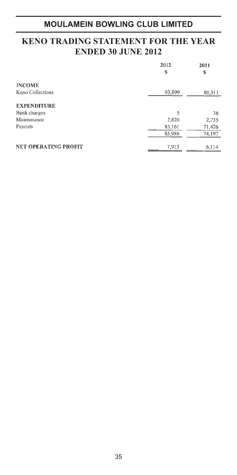### **KENO TRADING STATEMENT FOR THE YEAR ENDED 30 JUNE 2012**

|                             | 2012<br>S | 2011<br>s |
|-----------------------------|-----------|-----------|
| <b>INCOME</b>               |           |           |
| Keno Collections            | 93,899    | 80,311    |
| <b>EXPENDITURE</b>          |           |           |
| Bank charges                | 5         | 36        |
| Maintenance                 | 2,820     | 2,735     |
| Payouts                     | 83,161    | 71,426    |
|                             | 85,986    | 74,197    |
| <b>NET OPERATING PROFIT</b> | 7,913     | 6.114     |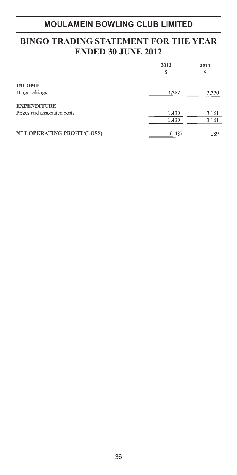### **BINGO TRADING STATEMENT FOR THE YEAR ENDED 30 JUNE 2012**

|                             | 2012<br>s | 2011<br>S |
|-----------------------------|-----------|-----------|
| <b>INCOME</b>               |           |           |
| Bingo takings               | 1,282     | 3,350     |
| <b>EXPENDITURE</b>          |           |           |
| Prizes and associated costs | 1,430     | 3,161     |
|                             | 1,430     | 3,161     |
| NET OPERATING PROFIT/(LOSS) | (148)     | 189       |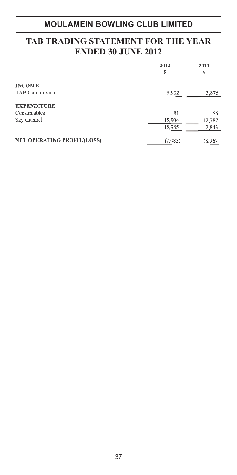### **TAB TRADING STATEMENT FOR THE YEAR ENDED 30 JUNE 2012**

|                                    | 2012<br>\$ | 2011<br>S |
|------------------------------------|------------|-----------|
| <b>INCOME</b>                      |            |           |
| TAB Commission                     | 8,902      | 3,876     |
| <b>EXPENDITURE</b>                 |            |           |
| Consumables                        | 81         | 56        |
| Sky channel                        | 15,904     | 12,787    |
|                                    | 15,985     | 12,843    |
| <b>NET OPERATING PROFIT/(LOSS)</b> | (7,083)    | (8,967)   |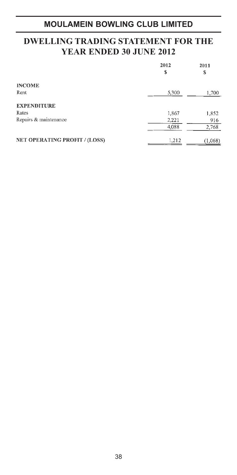### **DWELLING TRADING STATEMENT FOR THE YEAR ENDED 30 JUNE 2012**

|                               | 2012<br>\$ | 2011<br>S |
|-------------------------------|------------|-----------|
| <b>INCOME</b>                 |            |           |
| Rent                          | 5,300      | 1,700     |
| <b>EXPENDITURE</b>            |            |           |
| Rates                         | 1,867      | 1,852     |
| Repairs & maintenance         | 2,221      | 916       |
|                               | 4,088      | 2,768     |
| NET OPERATING PROFIT / (LOSS) | 1,212      | (1,068)   |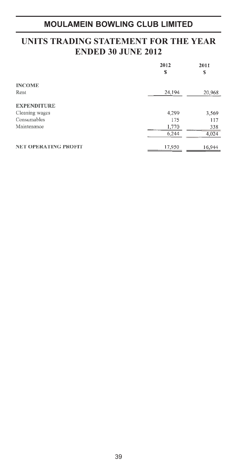### **UNITS TRADING STATEMENT FOR THE YEAR ENDED 30 JUNE 2012**

|                             | 2012<br>S | 2011<br>\$ |
|-----------------------------|-----------|------------|
| <b>INCOME</b>               |           |            |
| Rent                        | 24,194    | 20,968     |
| <b>EXPENDITURE</b>          |           |            |
| Cleaning wages              | 4,299     | 3,569      |
| Consumables                 | 175       | 117        |
| Maintenance                 | 1,770     | 338        |
|                             | 6,244     | 4,024      |
| <b>NET OPERATING PROFIT</b> | 17,950    | 16,944     |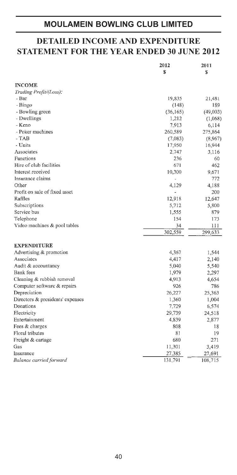### **DETAILED INCOME AND EXPENDITURE STATEMENT FOR THE YEAR ENDED 30 JUNE 2012**

|                                  | 2012<br>S | 2011<br>\$ |
|----------------------------------|-----------|------------|
|                                  |           |            |
| <b>INCOME</b>                    |           |            |
| Trading Profit/(Loss):           |           |            |
| - Bar                            | 19,835    | 21,481     |
| - Bingo                          | (148)     | 189        |
| - Bowling green                  | (36, 165) | (49,003)   |
| - Dwellings                      | 1,212     | (1,068)    |
| - Keno                           | 7,913     | 6,114      |
| - Poker machines                 | 260,589   | 275,864    |
| $-TAB$                           | (7,083)   | (8,967)    |
| - Units                          | 17,950    | 16,944     |
| Associates                       | 2,747     | 3,116      |
| Functions                        | 236       | 60         |
| Hire of club facilities          | 671       | 462        |
| Interest received                | 10,300    | 9,671      |
| Insurance claims                 |           | 772        |
| Other                            | 4,129     | 4,188      |
| Profit on sale of fixed asset    | ÷,        | 200        |
| Raffles                          | 12,918    | 12,647     |
| Subscriptions                    | 5,712     | 5,800      |
| Service bus                      | 1,555     | 879        |
| Telephone                        | 154       | 173        |
| Video machines & pool tables     | 34        | 111        |
|                                  | 302,559   | 299,633    |
| EXPENDITURE                      |           |            |
| Advertising & promotion          | 4,367     | 1,544      |
| Associates                       | 4,417     | 2,140      |
| Audit & accountancy              | 5,040     | 5,540      |
| Bank fees                        | 1,979     | 2,297      |
| Cleaning & rubbish removal       | 4,913     | 4,654      |
| Computer software & repairs      | 926       | 786        |
| Depreciation                     | 26,227    | 25,363     |
| Directors & presidents' expenses | 1,360     | 1,004      |
| Donations                        | 7,729     | 6,574      |
| Electricity                      | 29,739    | 24,518     |
| Entertainment                    | 4,839     | 2,877      |
| Fees & charges                   | 808       | 18         |
| Floral tributes                  | 81        | 19         |
| Freight & cartage                | 680       | 271        |
| Gas                              | 11,301    | 3,419      |
| Insurance                        | 27,385    | 27,691     |
| Balance carried forward          | 131,791   | 108,715    |
|                                  |           |            |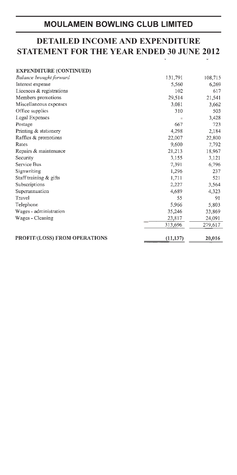# **DETAILED INCOME AND EXPENDITURE STATEMENT FOR THE YEAR ENDED 30 JUNE 2012**

| <b>EXPENDITURE (CONTINUED)</b>       |           |         |
|--------------------------------------|-----------|---------|
| Balance brought forward              | 131,791   | 108,715 |
| Interest expense                     | 5,560     | 6,269   |
| Licences & registrations             | 102       | 617     |
| Members promotions                   | 29,514    | 21,541  |
| Miscellaneous expenses               | 3,081     | 3,662   |
| Office supplies                      | 310       | 503     |
| Legal Expenses                       |           | 3,428   |
| Postage                              | 667       | 723     |
| Printing & stationery                | 4,298     | 2,184   |
| Raffles & promotions                 | 22,007    | 22,800  |
| Rates                                | 9,600     | 7,792   |
| Repairs & maintenance                | 21,213    | 18,967  |
| Security                             | 3.155     | 3,121   |
| Service Bus                          | 7,391     | 6,796   |
| Signwriting                          | 1,296     | 237     |
| Staff training & gifts               | 1,711     | 521     |
| Subscriptions                        | 2,227     | 3,564   |
| Superannuation                       | 4,689     | 4,323   |
| Travel                               | 55        | 91      |
| Telephone                            | 5,966     | 5,803   |
| Wages - administration               | 35,246    | 33,869  |
| Wages - Cleaning                     | 23,817    | 24,091  |
|                                      | 313,696   | 279,617 |
| <b>PROFIT/(LOSS) FROM OPERATIONS</b> | (11, 137) | 20,016  |